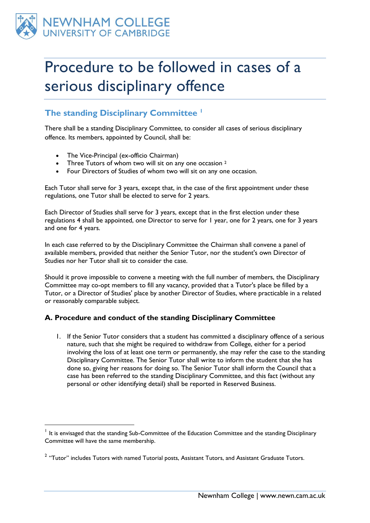

1

## Procedure to be followed in cases of a serious disciplinary offence

## **The standing Disciplinary Committee <sup>1</sup>**

There shall be a standing Disciplinary Committee, to consider all cases of serious disciplinary offence. Its members, appointed by Council, shall be:

- The Vice-Principal (ex-officio Chairman)
- [Three Tutors of whom two will sit on any one occasion](http://www.newn.cam.ac.uk/sites/all/modules/fckeditor/fckeditor/editor/fckeditor.html?InstanceName=edit-field-noimages-content-0-value&Toolbar=Advanced#footnote_2) <sup>2</sup>
- Four Directors of Studies of whom two will sit on any one occasion.

Each Tutor shall serve for 3 years, except that, in the case of the first appointment under these regulations, one Tutor shall be elected to serve for 2 years.

Each Director of Studies shall serve for 3 years, except that in the first election under these regulations 4 shall be appointed, one Director to serve for 1 year, one for 2 years, one for 3 years and one for 4 years.

In each case referred to by the Disciplinary Committee the Chairman shall convene a panel of available members, provided that neither the Senior Tutor, nor the student's own Director of Studies nor her Tutor shall sit to consider the case.

Should it prove impossible to convene a meeting with the full number of members, the Disciplinary Committee may co-opt members to fill any vacancy, provided that a Tutor's place be filled by a Tutor, or a Director of Studies' place by another Director of Studies, where practicable in a related or reasonably comparable subject.

## **A. Procedure and conduct of the standing Disciplinary Committee**

1. If the Senior Tutor considers that a student has committed a disciplinary offence of a serious nature, such that she might be required to withdraw from College, either for a period involving the loss of at least one term or permanently, she may refer the case to the standing Disciplinary Committee. The Senior Tutor shall write to inform the student that she has done so, giving her reasons for doing so. The Senior Tutor shall inform the Council that a case has been referred to the standing Disciplinary Committee, and this fact (without any personal or other identifying detail) shall be reported in Reserved Business.

<sup>&</sup>lt;sup>1</sup> It is envisaged that the standing Sub-Committee of the Education Committee and the standing Disciplinary Committee will have the same membership.

 $2$  "Tutor" includes Tutors with named Tutorial posts, Assistant Tutors, and Assistant Graduate Tutors.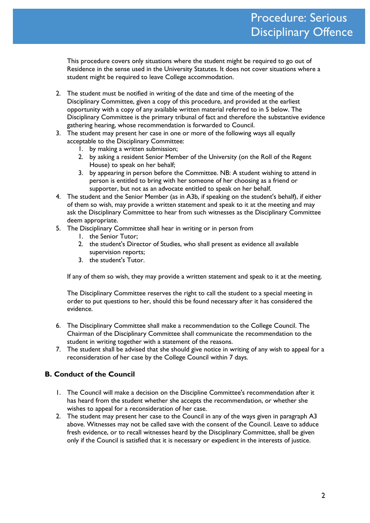This procedure covers only situations where the student might be required to go out of Residence in the sense used in the University Statutes. It does not cover situations where a student might be required to leave College accommodation.

- 2. The student must be notified in writing of the date and time of the meeting of the Disciplinary Committee, given a copy of this procedure, and provided at the earliest opportunity with a copy of any available written material referred to in 5 below. The Disciplinary Committee is the primary tribunal of fact and therefore the substantive evidence gathering hearing, whose recommendation is forwarded to Council.
- 3. The student may present her case in one or more of the following ways all equally acceptable to the Disciplinary Committee:
	- 1. by making a written submission;
	- 2. by asking a resident Senior Member of the University (on the Roll of the Regent House) to speak on her behalf;
	- 3. by appearing in person before the Committee. NB: A student wishing to attend in person is entitled to bring with her someone of her choosing as a friend or supporter, but not as an advocate entitled to speak on her behalf.
- 4. The student and the Senior Member (as in A3b, if speaking on the student's behalf), if either of them so wish, may provide a written statement and speak to it at the meeting and may ask the Disciplinary Committee to hear from such witnesses as the Disciplinary Committee deem appropriate.
- 5. The Disciplinary Committee shall hear in writing or in person from
	- 1. the Senior Tutor;
	- 2. the student's Director of Studies, who shall present as evidence all available supervision reports;
	- 3. the student's Tutor.

If any of them so wish, they may provide a written statement and speak to it at the meeting.

The Disciplinary Committee reserves the right to call the student to a special meeting in order to put questions to her, should this be found necessary after it has considered the evidence.

- 6. The Disciplinary Committee shall make a recommendation to the College Council. The Chairman of the Disciplinary Committee shall communicate the recommendation to the student in writing together with a statement of the reasons.
- 7. The student shall be advised that she should give notice in writing of any wish to appeal for a reconsideration of her case by the College Council within 7 days.

## **B. Conduct of the Council**

- 1. The Council will make a decision on the Discipline Committee's recommendation after it has heard from the student whether she accepts the recommendation, or whether she wishes to appeal for a reconsideration of her case.
- 2. The student may present her case to the Council in any of the ways given in paragraph A3 above. Witnesses may not be called save with the consent of the Council. Leave to adduce fresh evidence, or to recall witnesses heard by the Disciplinary Committee, shall be given only if the Council is satisfied that it is necessary or expedient in the interests of justice.